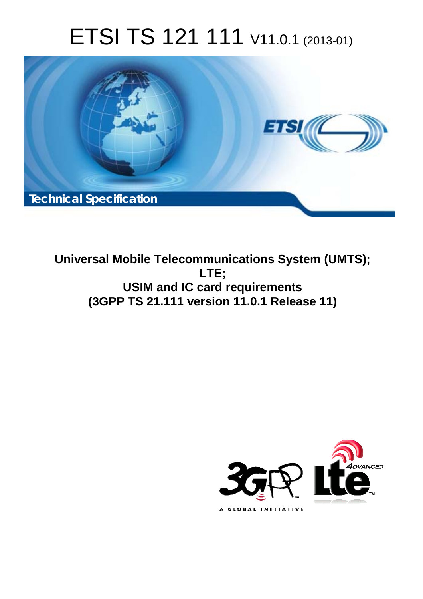# ETSI TS 121 111 V11.0.1 (2013-01)



**Universal Mobile Telecommunications System (UMTS); LTE; USIM and IC card requirements (3GPP TS 21.111 version 11.0.1 Release 11)** 

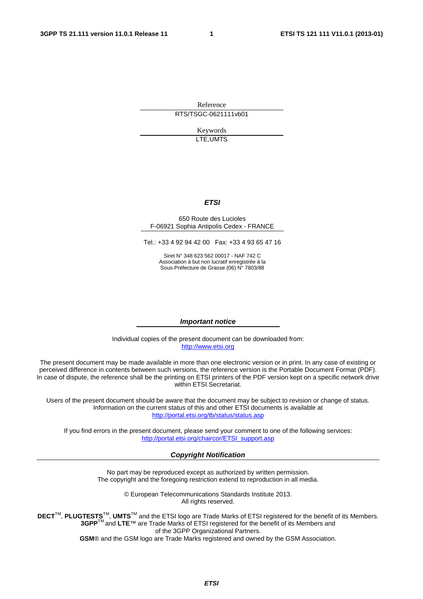Reference RTS/TSGC-0621111vb01

> Keywords LTE,UMTS

#### *ETSI*

#### 650 Route des Lucioles F-06921 Sophia Antipolis Cedex - FRANCE

Tel.: +33 4 92 94 42 00 Fax: +33 4 93 65 47 16

Siret N° 348 623 562 00017 - NAF 742 C Association à but non lucratif enregistrée à la Sous-Préfecture de Grasse (06) N° 7803/88

#### *Important notice*

Individual copies of the present document can be downloaded from: [http://www.etsi.org](http://www.etsi.org/)

The present document may be made available in more than one electronic version or in print. In any case of existing or perceived difference in contents between such versions, the reference version is the Portable Document Format (PDF). In case of dispute, the reference shall be the printing on ETSI printers of the PDF version kept on a specific network drive within ETSI Secretariat.

Users of the present document should be aware that the document may be subject to revision or change of status. Information on the current status of this and other ETSI documents is available at <http://portal.etsi.org/tb/status/status.asp>

If you find errors in the present document, please send your comment to one of the following services: [http://portal.etsi.org/chaircor/ETSI\\_support.asp](http://portal.etsi.org/chaircor/ETSI_support.asp)

#### *Copyright Notification*

No part may be reproduced except as authorized by written permission. The copyright and the foregoing restriction extend to reproduction in all media.

> © European Telecommunications Standards Institute 2013. All rights reserved.

DECT<sup>™</sup>, PLUGTESTS<sup>™</sup>, UMTS<sup>™</sup> and the ETSI logo are Trade Marks of ETSI registered for the benefit of its Members. **3GPP**TM and **LTE**™ are Trade Marks of ETSI registered for the benefit of its Members and of the 3GPP Organizational Partners.

**GSM**® and the GSM logo are Trade Marks registered and owned by the GSM Association.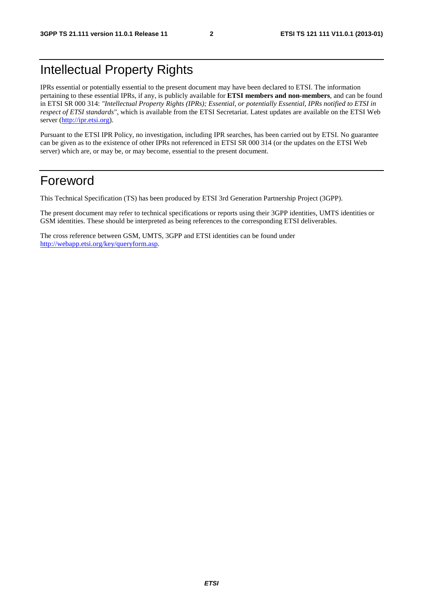# Intellectual Property Rights

IPRs essential or potentially essential to the present document may have been declared to ETSI. The information pertaining to these essential IPRs, if any, is publicly available for **ETSI members and non-members**, and can be found in ETSI SR 000 314: *"Intellectual Property Rights (IPRs); Essential, or potentially Essential, IPRs notified to ETSI in respect of ETSI standards"*, which is available from the ETSI Secretariat. Latest updates are available on the ETSI Web server [\(http://ipr.etsi.org](http://webapp.etsi.org/IPR/home.asp)).

Pursuant to the ETSI IPR Policy, no investigation, including IPR searches, has been carried out by ETSI. No guarantee can be given as to the existence of other IPRs not referenced in ETSI SR 000 314 (or the updates on the ETSI Web server) which are, or may be, or may become, essential to the present document.

### Foreword

This Technical Specification (TS) has been produced by ETSI 3rd Generation Partnership Project (3GPP).

The present document may refer to technical specifications or reports using their 3GPP identities, UMTS identities or GSM identities. These should be interpreted as being references to the corresponding ETSI deliverables.

The cross reference between GSM, UMTS, 3GPP and ETSI identities can be found under [http://webapp.etsi.org/key/queryform.asp.](http://webapp.etsi.org/key/queryform.asp)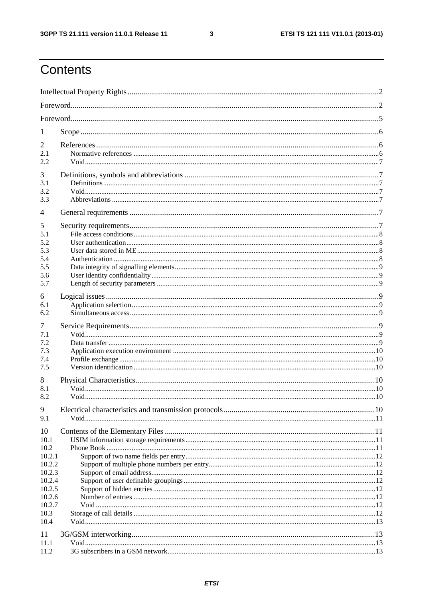$\mathbf{3}$ 

# Contents

| 1                                                  |  |  |  |  |  |  |
|----------------------------------------------------|--|--|--|--|--|--|
| 2<br>2.1<br>2.2                                    |  |  |  |  |  |  |
| 3<br>3.1<br>3.2<br>3.3                             |  |  |  |  |  |  |
| 4                                                  |  |  |  |  |  |  |
| 5<br>5.1<br>5.2<br>5.3<br>5.4<br>5.5<br>5.6<br>5.7 |  |  |  |  |  |  |
| 6<br>6.1<br>6.2                                    |  |  |  |  |  |  |
| 7<br>7.1<br>7.2<br>7.3<br>7.4<br>7.5               |  |  |  |  |  |  |
| 8<br>8.1<br>8.2<br>9                               |  |  |  |  |  |  |
| 9.1                                                |  |  |  |  |  |  |
| 10<br>10.1<br>10.2<br>10.2.1                       |  |  |  |  |  |  |
| 10.2.2<br>10.2.3<br>10.2.4<br>10.2.5               |  |  |  |  |  |  |
| 10.2.6<br>10.2.7<br>10.3<br>10.4                   |  |  |  |  |  |  |
| 11<br>11.1<br>11.2                                 |  |  |  |  |  |  |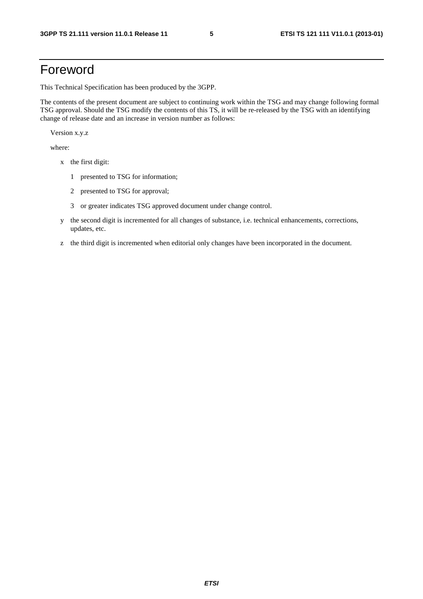# Foreword

This Technical Specification has been produced by the 3GPP.

The contents of the present document are subject to continuing work within the TSG and may change following formal TSG approval. Should the TSG modify the contents of this TS, it will be re-released by the TSG with an identifying change of release date and an increase in version number as follows:

Version x.y.z

where:

- x the first digit:
	- 1 presented to TSG for information;
	- 2 presented to TSG for approval;
	- 3 or greater indicates TSG approved document under change control.
- y the second digit is incremented for all changes of substance, i.e. technical enhancements, corrections, updates, etc.
- z the third digit is incremented when editorial only changes have been incorporated in the document.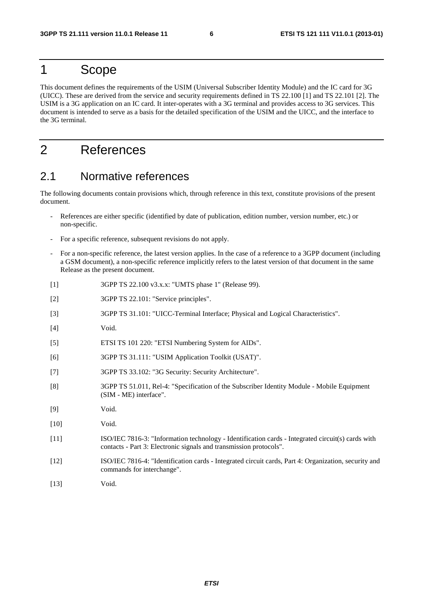### 1 Scope

This document defines the requirements of the USIM (Universal Subscriber Identity Module) and the IC card for 3G (UICC). These are derived from the service and security requirements defined in TS 22.100 [1] and TS 22.101 [2]. The USIM is a 3G application on an IC card. It inter-operates with a 3G terminal and provides access to 3G services. This document is intended to serve as a basis for the detailed specification of the USIM and the UICC, and the interface to the 3G terminal.

# 2 References

### 2.1 Normative references

The following documents contain provisions which, through reference in this text, constitute provisions of the present document.

- References are either specific (identified by date of publication, edition number, version number, etc.) or non-specific.
- For a specific reference, subsequent revisions do not apply.
- For a non-specific reference, the latest version applies. In the case of a reference to a 3GPP document (including a GSM document), a non-specific reference implicitly refers to the latest version of that document in the same Release as the present document.
- [1] 3GPP TS 22.100 v3.x.x: "UMTS phase 1" (Release 99).
- [2] 3GPP TS 22.101: "Service principles".
- [3] 3GPP TS 31.101: "UICC-Terminal Interface; Physical and Logical Characteristics".
- [4] Void.
- [5] ETSI TS 101 220: "ETSI Numbering System for AIDs".
- [6] 3GPP TS 31.111: "USIM Application Toolkit (USAT)".
- [7] 3GPP TS 33.102: "3G Security: Security Architecture".
- [8] 3GPP TS 51.011, Rel-4: "Specification of the Subscriber Identity Module Mobile Equipment (SIM - ME) interface".
- [9] Void.
- [10] **Void.**
- [11] ISO/IEC 7816-3: "Information technology Identification cards Integrated circuit(s) cards with contacts - Part 3: Electronic signals and transmission protocols".
- [12] ISO/IEC 7816-4: "Identification cards Integrated circuit cards, Part 4: Organization, security and commands for interchange".
- [13] **Void.**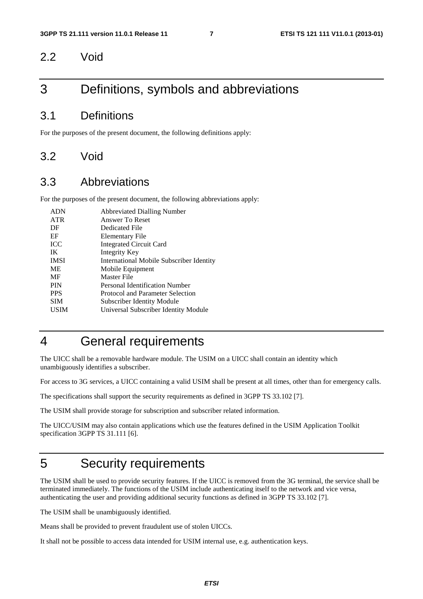#### 2.2 Void

# 3 Definitions, symbols and abbreviations

#### 3.1 Definitions

For the purposes of the present document, the following definitions apply:

#### 3.2 Void

#### 3.3 Abbreviations

For the purposes of the present document, the following abbreviations apply:

| <b>ADN</b>  | <b>Abbreviated Dialling Number</b>       |
|-------------|------------------------------------------|
| <b>ATR</b>  | Answer To Reset                          |
| DF          | Dedicated File                           |
| EF          | Elementary File                          |
| <b>ICC</b>  | <b>Integrated Circuit Card</b>           |
| IK          | Integrity Key                            |
| <b>IMSI</b> | International Mobile Subscriber Identity |
| <b>ME</b>   | Mobile Equipment                         |
| MF          | Master File                              |
| <b>PIN</b>  | Personal Identification Number           |
| <b>PPS</b>  | Protocol and Parameter Selection         |
| <b>SIM</b>  | <b>Subscriber Identity Module</b>        |
| USIM        | Universal Subscriber Identity Module     |
|             |                                          |

# 4 General requirements

The UICC shall be a removable hardware module. The USIM on a UICC shall contain an identity which unambiguously identifies a subscriber.

For access to 3G services, a UICC containing a valid USIM shall be present at all times, other than for emergency calls.

The specifications shall support the security requirements as defined in 3GPP TS 33.102 [7].

The USIM shall provide storage for subscription and subscriber related information.

The UICC/USIM may also contain applications which use the features defined in the USIM Application Toolkit specification 3GPP TS 31.111 [6].

### 5 Security requirements

The USIM shall be used to provide security features. If the UICC is removed from the 3G terminal, the service shall be terminated immediately. The functions of the USIM include authenticating itself to the network and vice versa, authenticating the user and providing additional security functions as defined in 3GPP TS 33.102 [7].

The USIM shall be unambiguously identified.

Means shall be provided to prevent fraudulent use of stolen UICCs.

It shall not be possible to access data intended for USIM internal use, e.g. authentication keys.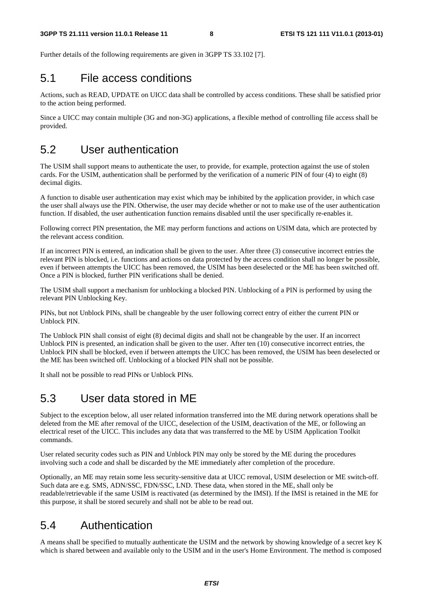Further details of the following requirements are given in 3GPP TS 33.102 [7].

### 5.1 File access conditions

Actions, such as READ, UPDATE on UICC data shall be controlled by access conditions. These shall be satisfied prior to the action being performed.

Since a UICC may contain multiple (3G and non-3G) applications, a flexible method of controlling file access shall be provided.

### 5.2 User authentication

The USIM shall support means to authenticate the user, to provide, for example, protection against the use of stolen cards. For the USIM, authentication shall be performed by the verification of a numeric PIN of four (4) to eight (8) decimal digits.

A function to disable user authentication may exist which may be inhibited by the application provider, in which case the user shall always use the PIN. Otherwise, the user may decide whether or not to make use of the user authentication function. If disabled, the user authentication function remains disabled until the user specifically re-enables it.

Following correct PIN presentation, the ME may perform functions and actions on USIM data, which are protected by the relevant access condition.

If an incorrect PIN is entered, an indication shall be given to the user. After three (3) consecutive incorrect entries the relevant PIN is blocked, i.e. functions and actions on data protected by the access condition shall no longer be possible, even if between attempts the UICC has been removed, the USIM has been deselected or the ME has been switched off. Once a PIN is blocked, further PIN verifications shall be denied.

The USIM shall support a mechanism for unblocking a blocked PIN. Unblocking of a PIN is performed by using the relevant PIN Unblocking Key.

PINs, but not Unblock PINs, shall be changeable by the user following correct entry of either the current PIN or Unblock PIN.

The Unblock PIN shall consist of eight (8) decimal digits and shall not be changeable by the user. If an incorrect Unblock PIN is presented, an indication shall be given to the user. After ten (10) consecutive incorrect entries, the Unblock PIN shall be blocked, even if between attempts the UICC has been removed, the USIM has been deselected or the ME has been switched off. Unblocking of a blocked PIN shall not be possible.

It shall not be possible to read PINs or Unblock PINs.

### 5.3 User data stored in ME

Subject to the exception below, all user related information transferred into the ME during network operations shall be deleted from the ME after removal of the UICC, deselection of the USIM, deactivation of the ME, or following an electrical reset of the UICC. This includes any data that was transferred to the ME by USIM Application Toolkit commands.

User related security codes such as PIN and Unblock PIN may only be stored by the ME during the procedures involving such a code and shall be discarded by the ME immediately after completion of the procedure.

Optionally, an ME may retain some less security-sensitive data at UICC removal, USIM deselection or ME switch-off. Such data are e.g. SMS, ADN/SSC, FDN/SSC, LND. These data, when stored in the ME, shall only be readable/retrievable if the same USIM is reactivated (as determined by the IMSI). If the IMSI is retained in the ME for this purpose, it shall be stored securely and shall not be able to be read out.

#### 5.4 Authentication

A means shall be specified to mutually authenticate the USIM and the network by showing knowledge of a secret key K which is shared between and available only to the USIM and in the user's Home Environment. The method is composed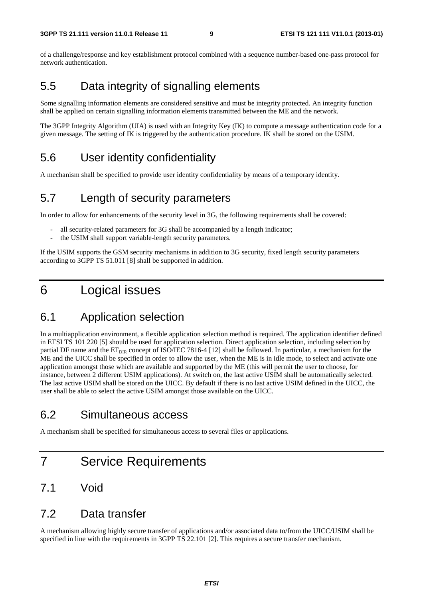of a challenge/response and key establishment protocol combined with a sequence number-based one-pass protocol for network authentication.

### 5.5 Data integrity of signalling elements

Some signalling information elements are considered sensitive and must be integrity protected. An integrity function shall be applied on certain signalling information elements transmitted between the ME and the network.

The 3GPP Integrity Algorithm (UIA) is used with an Integrity Key (IK) to compute a message authentication code for a given message. The setting of IK is triggered by the authentication procedure. IK shall be stored on the USIM.

### 5.6 User identity confidentiality

A mechanism shall be specified to provide user identity confidentiality by means of a temporary identity.

#### 5.7 Length of security parameters

In order to allow for enhancements of the security level in 3G, the following requirements shall be covered:

- all security-related parameters for 3G shall be accompanied by a length indicator;
- the USIM shall support variable-length security parameters.

If the USIM supports the GSM security mechanisms in addition to 3G security, fixed length security parameters according to 3GPP TS 51.011 [8] shall be supported in addition.

# 6 Logical issues

### 6.1 Application selection

In a multiapplication environment, a flexible application selection method is required. The application identifier defined in ETSI TS 101 220 [5] should be used for application selection. Direct application selection, including selection by partial DF name and the  $EF_{DR}$  concept of ISO/IEC 7816-4 [12] shall be followed. In particular, a mechanism for the ME and the UICC shall be specified in order to allow the user, when the ME is in idle mode, to select and activate one application amongst those which are available and supported by the ME (this will permit the user to choose, for instance, between 2 different USIM applications). At switch on, the last active USIM shall be automatically selected. The last active USIM shall be stored on the UICC. By default if there is no last active USIM defined in the UICC, the user shall be able to select the active USIM amongst those available on the UICC.

### 6.2 Simultaneous access

A mechanism shall be specified for simultaneous access to several files or applications.

# 7 Service Requirements

### 7.1 Void

#### 7.2 Data transfer

A mechanism allowing highly secure transfer of applications and/or associated data to/from the UICC/USIM shall be specified in line with the requirements in 3GPP TS 22.101 [2]. This requires a secure transfer mechanism.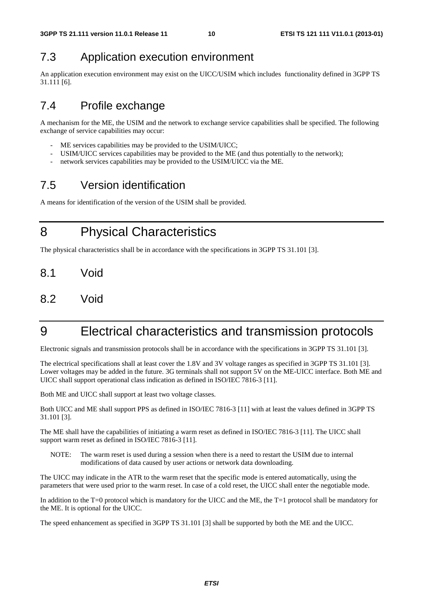# 7.3 Application execution environment

An application execution environment may exist on the UICC/USIM which includes functionality defined in 3GPP TS 31.111 [6].

### 7.4 Profile exchange

A mechanism for the ME, the USIM and the network to exchange service capabilities shall be specified. The following exchange of service capabilities may occur:

- ME services capabilities may be provided to the USIM/UICC;
- USIM/UICC services capabilities may be provided to the ME (and thus potentially to the network);
- network services capabilities may be provided to the USIM/UICC via the ME.

# 7.5 Version identification

A means for identification of the version of the USIM shall be provided.

8 Physical Characteristics

The physical characteristics shall be in accordance with the specifications in 3GPP TS 31.101 [3].

- 8.1 Void
- 8.2 Void

# 9 Electrical characteristics and transmission protocols

Electronic signals and transmission protocols shall be in accordance with the specifications in 3GPP TS 31.101 [3].

The electrical specifications shall at least cover the 1.8V and 3V voltage ranges as specified in 3GPP TS 31.101 [3]. Lower voltages may be added in the future. 3G terminals shall not support 5V on the ME-UICC interface. Both ME and UICC shall support operational class indication as defined in ISO/IEC 7816-3 [11].

Both ME and UICC shall support at least two voltage classes.

Both UICC and ME shall support PPS as defined in ISO/IEC 7816-3 [11] with at least the values defined in 3GPP TS 31.101 [3].

The ME shall have the capabilities of initiating a warm reset as defined in ISO/IEC 7816-3 [11]. The UICC shall support warm reset as defined in ISO/IEC 7816-3 [11].

NOTE: The warm reset is used during a session when there is a need to restart the USIM due to internal modifications of data caused by user actions or network data downloading.

The UICC may indicate in the ATR to the warm reset that the specific mode is entered automatically, using the parameters that were used prior to the warm reset. In case of a cold reset, the UICC shall enter the negotiable mode.

In addition to the T=0 protocol which is mandatory for the UICC and the ME, the T=1 protocol shall be mandatory for the ME. It is optional for the UICC.

The speed enhancement as specified in 3GPP TS 31.101 [3] shall be supported by both the ME and the UICC.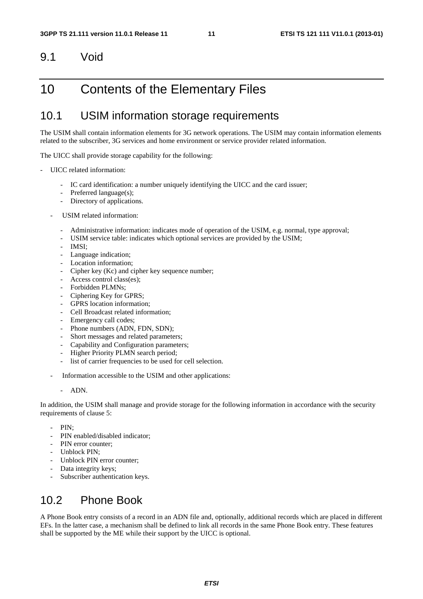#### 9.1 Void

### 10 Contents of the Elementary Files

### 10.1 USIM information storage requirements

The USIM shall contain information elements for 3G network operations. The USIM may contain information elements related to the subscriber, 3G services and home environment or service provider related information.

The UICC shall provide storage capability for the following:

- UICC related information:
	- IC card identification: a number uniquely identifying the UICC and the card issuer;
	- Preferred language(s);
	- Directory of applications.
	- USIM related information:
		- Administrative information: indicates mode of operation of the USIM, e.g. normal, type approval;
		- USIM service table: indicates which optional services are provided by the USIM;
		- IMSI:
		- Language indication;
		- Location information:
		- Cipher key (Kc) and cipher key sequence number;
		- Access control class(es);
		- Forbidden PLMNs;
		- Ciphering Key for GPRS;
		- GPRS location information:
		- Cell Broadcast related information:
		- Emergency call codes;
		- Phone numbers (ADN, FDN, SDN);
		- Short messages and related parameters;
		- Capability and Configuration parameters;
		- Higher Priority PLMN search period;
		- list of carrier frequencies to be used for cell selection.
	- Information accessible to the USIM and other applications:
		- ADN.

In addition, the USIM shall manage and provide storage for the following information in accordance with the security requirements of clause 5:

- PIN:
- PIN enabled/disabled indicator;
- PIN error counter:
- Unblock PIN;
- Unblock PIN error counter;
- Data integrity keys;
- Subscriber authentication keys.

### 10.2 Phone Book

A Phone Book entry consists of a record in an ADN file and, optionally, additional records which are placed in different EFs. In the latter case, a mechanism shall be defined to link all records in the same Phone Book entry. These features shall be supported by the ME while their support by the UICC is optional.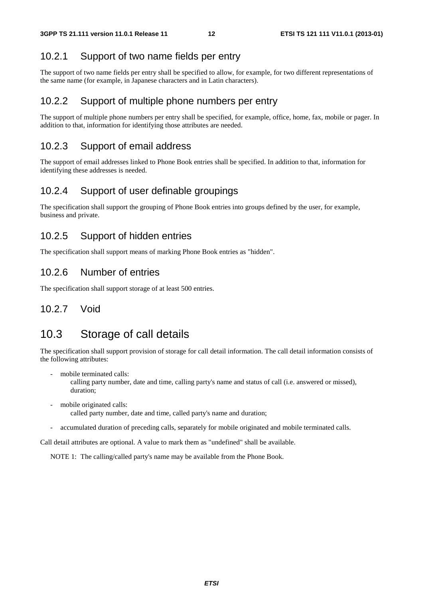#### 10.2.1 Support of two name fields per entry

The support of two name fields per entry shall be specified to allow, for example, for two different representations of the same name (for example, in Japanese characters and in Latin characters).

#### 10.2.2 Support of multiple phone numbers per entry

The support of multiple phone numbers per entry shall be specified, for example, office, home, fax, mobile or pager. In addition to that, information for identifying those attributes are needed.

#### 10.2.3 Support of email address

The support of email addresses linked to Phone Book entries shall be specified. In addition to that, information for identifying these addresses is needed.

#### 10.2.4 Support of user definable groupings

The specification shall support the grouping of Phone Book entries into groups defined by the user, for example, business and private.

#### 10.2.5 Support of hidden entries

The specification shall support means of marking Phone Book entries as "hidden".

#### 10.2.6 Number of entries

The specification shall support storage of at least 500 entries.

#### 10.2.7 Void

### 10.3 Storage of call details

The specification shall support provision of storage for call detail information. The call detail information consists of the following attributes:

mobile terminated calls:

 calling party number, date and time, calling party's name and status of call (i.e. answered or missed), duration;

- mobile originated calls: called party number, date and time, called party's name and duration;
- accumulated duration of preceding calls, separately for mobile originated and mobile terminated calls.

Call detail attributes are optional. A value to mark them as "undefined" shall be available.

NOTE 1: The calling/called party's name may be available from the Phone Book.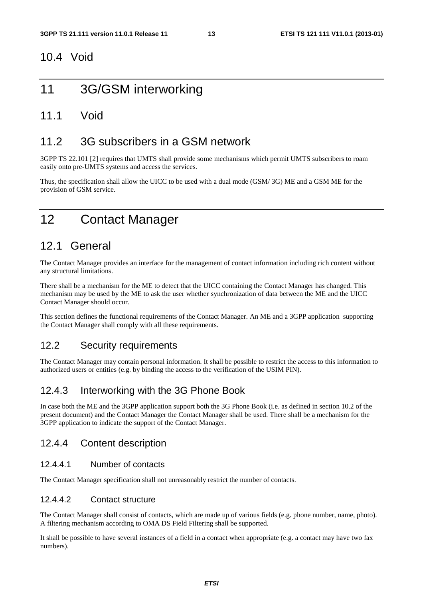#### 10.4 Void

# 11 3G/GSM interworking

#### 11.1 Void

#### 11.2 3G subscribers in a GSM network

3GPP TS 22.101 [2] requires that UMTS shall provide some mechanisms which permit UMTS subscribers to roam easily onto pre-UMTS systems and access the services.

Thus, the specification shall allow the UICC to be used with a dual mode (GSM/ 3G) ME and a GSM ME for the provision of GSM service.

# 12 Contact Manager

### 12.1 General

The Contact Manager provides an interface for the management of contact information including rich content without any structural limitations.

There shall be a mechanism for the ME to detect that the UICC containing the Contact Manager has changed. This mechanism may be used by the ME to ask the user whether synchronization of data between the ME and the UICC Contact Manager should occur.

This section defines the functional requirements of the Contact Manager. An ME and a 3GPP application supporting the Contact Manager shall comply with all these requirements.

#### 12.2 Security requirements

The Contact Manager may contain personal information. It shall be possible to restrict the access to this information to authorized users or entities (e.g. by binding the access to the verification of the USIM PIN).

#### 12.4.3 Interworking with the 3G Phone Book

In case both the ME and the 3GPP application support both the 3G Phone Book (i.e. as defined in section 10.2 of the present document) and the Contact Manager the Contact Manager shall be used. There shall be a mechanism for the 3GPP application to indicate the support of the Contact Manager.

#### 12.4.4 Content description

#### 12.4.4.1 Number of contacts

The Contact Manager specification shall not unreasonably restrict the number of contacts.

#### 12.4.4.2 Contact structure

The Contact Manager shall consist of contacts, which are made up of various fields (e.g. phone number, name, photo). A filtering mechanism according to OMA DS Field Filtering shall be supported.

It shall be possible to have several instances of a field in a contact when appropriate (e.g. a contact may have two fax numbers).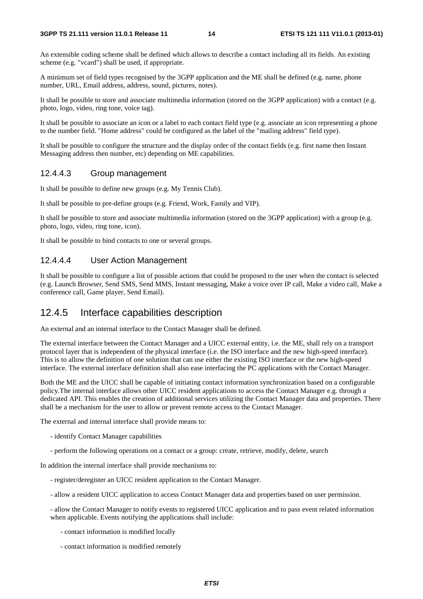An extensible coding scheme shall be defined which allows to describe a contact including all its fields. An existing scheme (e.g. "vcard") shall be used, if appropriate.

A minimum set of field types recognised by the 3GPP application and the ME shall be defined (e.g. name, phone number, URL, Email address, address, sound, pictures, notes).

It shall be possible to store and associate multimedia information (stored on the 3GPP application) with a contact (e.g. photo, logo, video, ring tone, voice tag).

It shall be possible to associate an icon or a label to each contact field type (e.g. associate an icon representing a phone to the number field. "Home address" could be configured as the label of the "mailing address" field type).

It shall be possible to configure the structure and the display order of the contact fields (e.g. first name then Instant Messaging address then number, etc) depending on ME capabilities.

#### 12.4.4.3 Group management

It shall be possible to define new groups (e.g. My Tennis Club).

It shall be possible to pre-define groups (e.g. Friend, Work, Family and VIP).

It shall be possible to store and associate multimedia information (stored on the 3GPP application) with a group (e.g. photo, logo, video, ring tone, icon).

It shall be possible to bind contacts to one or several groups.

#### 12.4.4.4 User Action Management

It shall be possible to configure a list of possible actions that could be proposed to the user when the contact is selected (e.g. Launch Browser, Send SMS, Send MMS, Instant messaging, Make a voice over IP call, Make a video call, Make a conference call, Game player, Send Email).

#### 12.4.5 Interface capabilities description

An external and an internal interface to the Contact Manager shall be defined.

The external interface between the Contact Manager and a UICC external entity, i.e. the ME, shall rely on a transport protocol layer that is independent of the physical interface (i.e. the ISO interface and the new high-speed interface). This is to allow the definition of one solution that can use either the existing ISO interface or the new high-speed interface. The external interface definition shall also ease interfacing the PC applications with the Contact Manager.

Both the ME and the UICC shall be capable of initiating contact information synchronization based on a configurable policy.The internal interface allows other UICC resident applications to access the Contact Manager e.g. through a dedicated API. This enables the creation of additional services utilizing the Contact Manager data and properties. There shall be a mechanism for the user to allow or prevent remote access to the Contact Manager.

The external and internal interface shall provide means to:

- identify Contact Manager capabilities
- perform the following operations on a contact or a group: create, retrieve, modify, delete, search

In addition the internal interface shall provide mechanisms to:

- register/deregister an UICC resident application to the Contact Manager.
- allow a resident UICC application to access Contact Manager data and properties based on user permission.

- allow the Contact Manager to notify events to registered UICC application and to pass event related information when applicable. Events notifying the applications shall include:

- contact information is modified locally
- contact information is modified remotely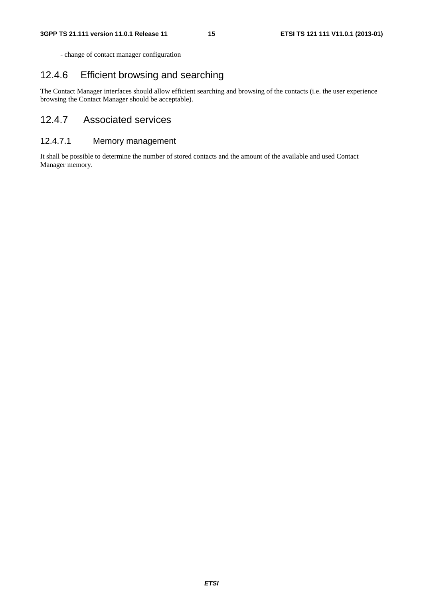- change of contact manager configuration

#### 12.4.6 Efficient browsing and searching

The Contact Manager interfaces should allow efficient searching and browsing of the contacts (i.e. the user experience browsing the Contact Manager should be acceptable).

#### 12.4.7 Associated services

#### 12.4.7.1 Memory management

It shall be possible to determine the number of stored contacts and the amount of the available and used Contact Manager memory.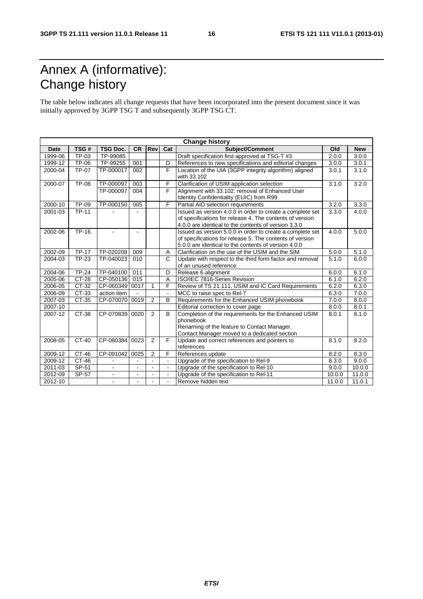# Annex A (informative): Change history

The table below indicates all change requests that have been incorporated into the present document since it was initially approved by 3GPP TSG T and subsequently 3GPP TSG CT.

| <b>Change history</b> |              |                 |           |                |                          |                                                                                                                                                                               |        |            |
|-----------------------|--------------|-----------------|-----------|----------------|--------------------------|-------------------------------------------------------------------------------------------------------------------------------------------------------------------------------|--------|------------|
| Date                  | TSG#         | <b>TSG Doc.</b> | <b>CR</b> | Rev            | Cat                      | Subject/Comment                                                                                                                                                               | Old    | <b>New</b> |
| 1999-06               | TP-03        | TP-99085        |           |                |                          | Draft specification first approved at TSG-T #3                                                                                                                                | 2.0.0  | 3.0.0      |
| 1999-12               | <b>TP-06</b> | TP-99255        | 001       |                | D                        | References to new specifications and editorial changes                                                                                                                        | 3.0.0  | 3.0.1      |
| 2000-04               | TP-07        | TP-000017       | 002       |                | F                        | Location of the UIA (3GPP integrity algorithm) aligned<br>with 33.102                                                                                                         | 3.0.1  | 3.1.0      |
| 2000-07               | <b>TP-08</b> | TP-000097       | 003       |                | F                        | Clarification of USIM application selection                                                                                                                                   | 3.1.0  | 3.2.0      |
|                       |              | TP-000097       | 004       |                | F                        | Alignment with 33.102: removal of Enhanced User<br>Identity Confidentiality (EUIC) from R99                                                                                   |        |            |
| 2000-10               | <b>TP-09</b> | TP-000150       | 005       |                | F                        | Partial AID selection requirements                                                                                                                                            | 3.2.0  | 3.3.0      |
| 2001-03               | <b>TP-11</b> |                 |           |                |                          | Issued as version 4.0.0 in order to create a complete set<br>of specifications for release 4. The contents of version<br>4.0.0 are identical to the contents of version 3.3.0 | 3.3.0  | 4.0.0      |
| 2002-06               | TP-16        | $\blacksquare$  | $\sim$    |                |                          | Issued as version 5.0.0 in order to create a complete set<br>of specifications for release 5. The contents of version<br>5.0.0 are identical to the contents of version 4.0.0 | 4.0.0  | 5.0.0      |
| 2002-09               | <b>TP-17</b> | TP-020208       | 009       |                | A                        | Clarification on the use of the USIM and the SIM                                                                                                                              | 5.0.0  | 5.1.0      |
| 2004-03               | <b>TP-23</b> | TP-040023       | 010       |                | $\mathsf{C}$             | Update with respect to the third form factor and removal<br>of an unused reference                                                                                            | 5.1.0  | 6.0.0      |
| 2004-06               | $TP-24$      | TP-040100       | 011       |                | D                        | Release 6 alignment                                                                                                                                                           | 6.0.0  | 6.1.0      |
| 2005-06               | <b>CT-28</b> | CP-050136       | 015       |                | A                        | ISO/IEC 7816-Series Revision                                                                                                                                                  | 6.1.0  | 6.2.0      |
| 2006-05               | CT-32        | CP-060349       | 0017      | 1              | F                        | Review of TS 21.111, USIM and IC Card Requirements                                                                                                                            | 6.2.0  | 6.3.0      |
| 2006-09               | CT-33        | action item     |           |                |                          | MCC to raise spec to Rel-7                                                                                                                                                    | 6.3.0  | 7.0.0      |
| 2007-03               | CT-35        | CP-070070       | 0019      | 2              | B                        | Requirements for the Enhanced USIM phonebook                                                                                                                                  | 7.0.0  | 8.0.0      |
| 2007-10               |              |                 |           |                |                          | Editorial correction to cover page                                                                                                                                            | 8.0.0  | 8.0.1      |
| 2007-12               | CT-38        | CP-070839       | 0020      | 2              | B                        | Completion of the requirements for the Enhanced USIM<br>phonebook<br>Renaming of the feature to Contact Manager.<br>Contact Manager moved to a dedicated section              | 8.0.1  | 8.1.0      |
| 2008-05               | CT-40        | CP-080384       | 0023      | 2              | F                        | Update and correct references and pointers to<br>references                                                                                                                   | 8.1.0  | 8.2.0      |
| 2009-12               | CT-46        | CP-091042       | 0025      | $\overline{2}$ | F                        | References update                                                                                                                                                             | 8.2.0  | 8.3.0      |
| 2009-12               | CT-46        |                 |           | $\overline{a}$ | $\overline{\phantom{a}}$ | Upgrade of the specification to Rel-9                                                                                                                                         | 8.3.0  | 9.0.0      |
| 2011-03               | SP-51        | $\blacksquare$  |           | $\sim$         | $\blacksquare$           | Upgrade of the specification to Rel-10                                                                                                                                        | 9.0.0  | 10.0.0     |
| 2012-09               | SP-57        | $\blacksquare$  |           | $\blacksquare$ |                          | Upgrade of the specification to Rel-11                                                                                                                                        | 10.0.0 | 11.0.0     |
| 2012-10               |              | $\blacksquare$  |           |                | $\blacksquare$           | Remove hidden text                                                                                                                                                            | 11.0.0 | 11.0.1     |